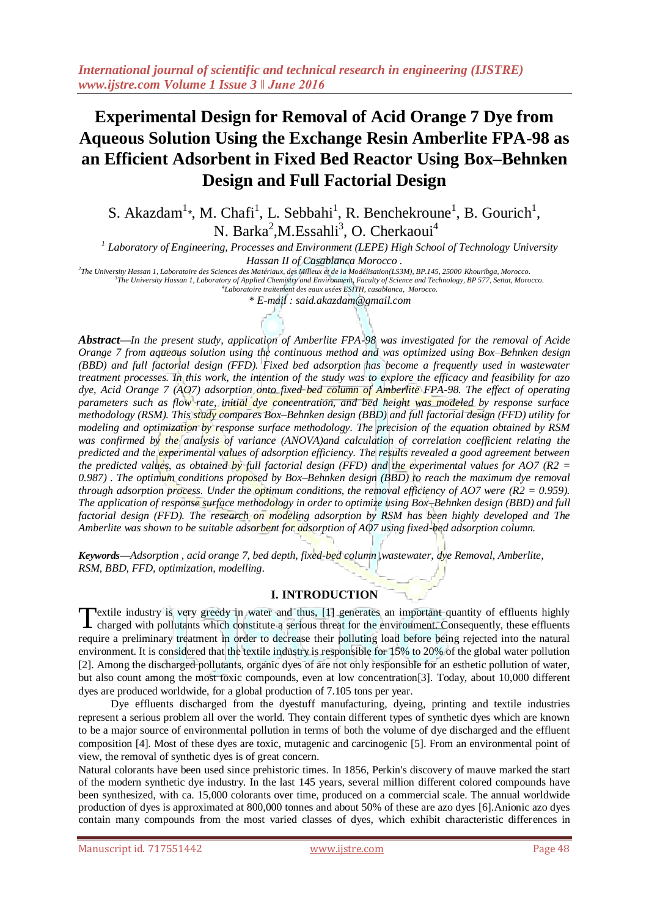# **Experimental Design for Removal of Acid Orange 7 Dye from Aqueous Solution Using the Exchange Resin Amberlite FPA-98 as an Efficient Adsorbent in Fixed Bed Reactor Using Box–Behnken Design and Full Factorial Design**

S. Akazdam<sup>1</sup><sup>\*</sup>, M. Chafi<sup>1</sup>, L. Sebbahi<sup>1</sup>, R. Benchekroune<sup>1</sup>, B. Gourich<sup>1</sup>, N. Barka<sup>2</sup>, M. Essahli<sup>3</sup>, O. Cherkaoui<sup>4</sup>

*1 Laboratory of Engineering, Processes and Environment (LEPE) High School of Technology University* 

*Hassan II of Casablanca Morocco .*

*2 The University Hassan 1, Laboratoire des Sciences des Matériaux, des Milieux et de la Modélisation(LS3M), BP.145, 25000 Khouribga, Morocco. 3 The University Hassan 1, Laboratory of Applied Chemistry and Environment, Faculty of Science and Technology, BP 577, Settat, Morocco.* 

*4 Laboratoire traitement des eaux usées ESITH, casablanca, Morocco.*

*\* E-mail : said.akazdam@gmail.com* 

*Abstract—In the present study, application of Amberlite FPA-98 was investigated for the removal of Acide Orange 7 from aqueous solution using the continuous method and was optimized using Box–Behnken design (BBD) and full factorial design (FFD). Fixed bed adsorption has become a frequently used in wastewater treatment processes. In this work, the intention of the study was to explore the efficacy and feasibility for azo dye, Acid Orange 7 (AO7) adsorption onto fixed bed column of Amberlite FPA-98. The effect of operating parameters such as flow rate, initial dye concentration, and bed height was modeled by response surface methodology (RSM). This study compares Box–Behnken design (BBD) and full factorial design (FFD) utility for modeling and optimization by response surface methodology. The precision of the equation obtained by RSM*  was confirmed by the analysis of variance (ANOVA)and calculation of correlation coefficient relating the *predicted and the experimental values of adsorption efficiency. The results revealed a good agreement between the predicted values, as obtained by full factorial design (FFD) and the experimental values for AO7 (R2 = 0.987) . The optimum conditions proposed by Box–Behnken design (BBD) to reach the maximum dye removal through adsorption process. Under the optimum conditions, the removal efficiency of AO7 were (R2 = 0.959). The application of response surface methodology in order to optimize using Box–Behnken design (BBD) and full factorial design (FFD). The research on modeling adsorption by RSM has been highly developed and The Amberlite was shown to be suitable adsorbent for adsorption of AO7 using fixed-bed adsorption column.*

*Keywords***—***Adsorption , acid orange 7, bed depth, fixed-bed column ,wastewater, dye Removal, Amberlite, RSM, BBD, FFD, optimization, modelling*.

## **I. INTRODUCTION**

extile industry is very greedy in water and thus, [1] generates an important quantity of effluents highly charged with pollutants which constitute a serious threat for the environment. Consequently, these effluents require a preliminary treatment in order to decrease their polluting load before being rejected into the natural environment. It is considered that the textile industry is responsible for 15% to 20% of the global water pollution [2]. Among the discharged pollutants, organic dyes of are not only responsible for an esthetic pollution of water, but also count among the most toxic compounds, even at low concentration[3]. Today, about 10,000 different dyes are produced worldwide, for a global production of 7.105 tons per year. T

 Dye effluents discharged from the dyestuff manufacturing, dyeing, printing and textile industries represent a serious problem all over the world. They contain different types of synthetic dyes which are known to be a major source of environmental pollution in terms of both the volume of dye discharged and the effluent composition [4]. Most of these dyes are toxic, mutagenic and carcinogenic [5]. From an environmental point of view, the removal of synthetic dyes is of great concern.

Natural colorants have been used since prehistoric times. In 1856, Perkin's discovery of mauve marked the start of the modern synthetic dye industry. In the last 145 years, several million different colored compounds have been synthesized, with ca. 15,000 colorants over time, produced on a commercial scale. The annual worldwide production of dyes is approximated at 800,000 tonnes and about 50% of these are azo dyes [6].Anionic azo dyes contain many compounds from the most varied classes of dyes, which exhibit characteristic differences in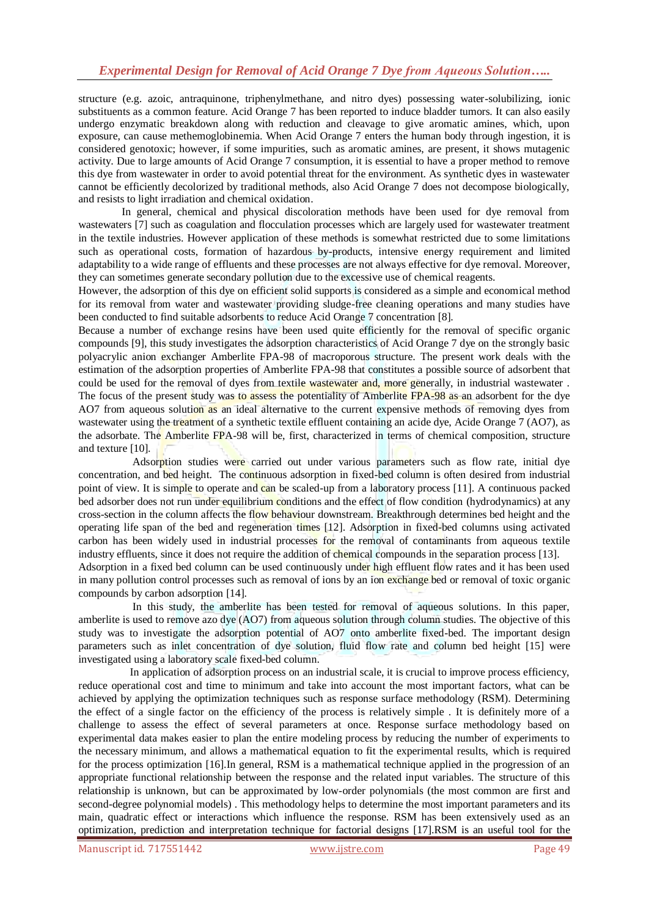# *Experimental Design for Removal of Acid Orange 7 Dye from Aqueous Solution…..*

structure (e.g. azoic, antraquinone, triphenylmethane, and nitro dyes) possessing water-solubilizing, ionic substituents as a common feature. Acid Orange 7 has been reported to induce bladder tumors. It can also easily undergo enzymatic breakdown along with reduction and cleavage to give aromatic amines, which, upon exposure, can cause methemoglobinemia. When Acid Orange 7 enters the human body through ingestion, it is considered genotoxic; however, if some impurities, such as aromatic amines, are present, it shows mutagenic activity. Due to large amounts of Acid Orange 7 consumption, it is essential to have a proper method to remove this dye from wastewater in order to avoid potential threat for the environment. As synthetic dyes in wastewater cannot be efficiently decolorized by traditional methods, also Acid Orange 7 does not decompose biologically, and resists to light irradiation and chemical oxidation.

 In general, chemical and physical discoloration methods have been used for dye removal from wastewaters [7] such as coagulation and flocculation processes which are largely used for wastewater treatment in the textile industries. However application of these methods is somewhat restricted due to some limitations such as operational costs, formation of hazardous by-products, intensive energy requirement and limited adaptability to a wide range of effluents and these processes are not always effective for dye removal. Moreover, they can sometimes generate secondary pollution due to the excessive use of chemical reagents.

However, the adsorption of this dye on efficient solid supports is considered as a simple and economical method for its removal from water and wastewater providing sludge-free cleaning operations and many studies have been conducted to find suitable adsorbents to reduce Acid Orange 7 concentration [8].

Because a number of exchange resins have been used quite efficiently for the removal of specific organic compounds [9], this study investigates the adsorption characteristics of Acid Orange 7 dye on the strongly basic polyacrylic anion exchanger Amberlite FPA-98 of macroporous structure. The present work deals with the estimation of the adsorption properties of Amberlite FPA-98 that constitutes a possible source of adsorbent that could be used for the removal of dyes from textile wastewater and, more generally, in industrial wastewater. The focus of the present study was to assess the potentiality of Amberlite FPA-98 as an adsorbent for the dye AO7 from aqueous solution as an ideal alternative to the current expensive methods of removing dyes from wastewater using the treatment of a synthetic textile effluent containing an acide dye, Acide Orange 7 (AO7), as the adsorbate. The Amberlite FPA-98 will be, first, characterized in terms of chemical composition, structure and texture [10].

Adsorption studies were carried out under various parameters such as flow rate, initial dye concentration, and bed height. The continuous adsorption in fixed-bed column is often desired from industrial point of view. It is simple to operate and can be scaled-up from a laboratory process [11]. A continuous packed bed adsorber does not run under equilibrium conditions and the effect of flow condition (hydrodynamics) at any cross-section in the column affects the flow behaviour downstream. Breakthrough determines bed height and the operating life span of the bed and regeneration times [12]. Adsorption in fixed-bed columns using activated carbon has been widely used in industrial processes for the removal of contaminants from aqueous textile industry effluents, since it does not require the addition of chemical compounds in the separation process [13]. Adsorption in a fixed bed column can be used continuously under high effluent flow rates and it has been used in many pollution control processes such as removal of ions by an ion exchange bed or removal of toxic organic

compounds by carbon adsorption [14].

 In this study, the amberlite has been tested for removal of aqueous solutions. In this paper, amberlite is used to remove azo dye (AO7) from aqueous solution through column studies. The objective of this study was to investigate the adsorption potential of AO7 onto amberlite fixed-bed. The important design parameters such as inlet concentration of dye solution, fluid flow rate and column bed height [15] were investigated using a laboratory scale fixed-bed column.

 In application of adsorption process on an industrial scale, it is crucial to improve process efficiency, reduce operational cost and time to minimum and take into account the most important factors, what can be achieved by applying the optimization techniques such as response surface methodology (RSM). Determining the effect of a single factor on the efficiency of the process is relatively simple . It is definitely more of a challenge to assess the effect of several parameters at once. Response surface methodology based on experimental data makes easier to plan the entire modeling process by reducing the number of experiments to the necessary minimum, and allows a mathematical equation to fit the experimental results, which is required for the process optimization [16].In general, RSM is a mathematical technique applied in the progression of an appropriate functional relationship between the response and the related input variables. The structure of this relationship is unknown, but can be approximated by low-order polynomials (the most common are first and second-degree polynomial models) . This methodology helps to determine the most important parameters and its main, quadratic effect or interactions which influence the response. RSM has been extensively used as an optimization, prediction and interpretation technique for factorial designs [17].RSM is an useful tool for the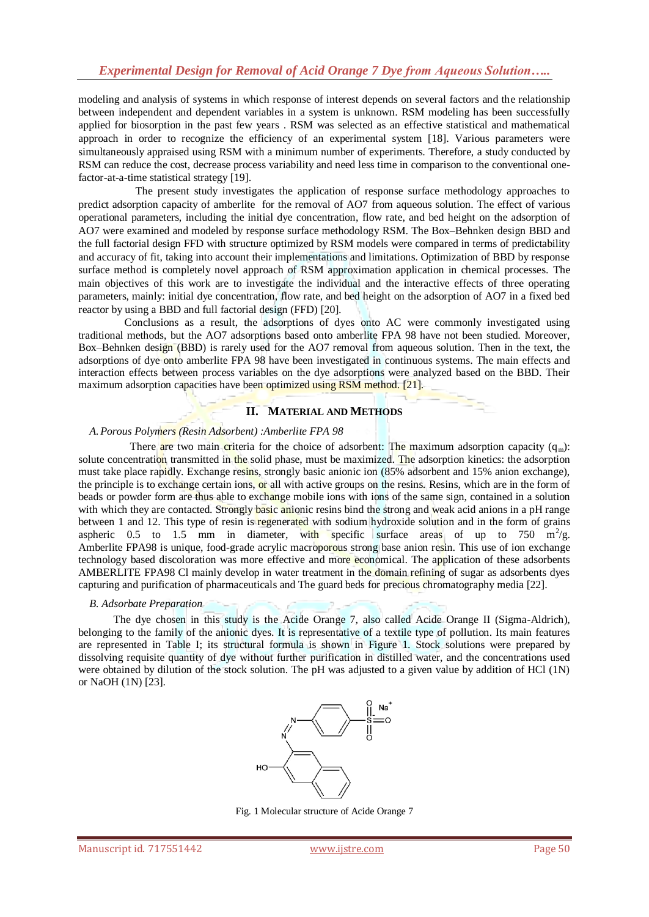modeling and analysis of systems in which response of interest depends on several factors and the relationship between independent and dependent variables in a system is unknown. RSM modeling has been successfully applied for biosorption in the past few years . RSM was selected as an effective statistical and mathematical approach in order to recognize the efficiency of an experimental system [18]. Various parameters were simultaneously appraised using RSM with a minimum number of experiments. Therefore, a study conducted by RSM can reduce the cost, decrease process variability and need less time in comparison to the conventional onefactor-at-a-time statistical strategy [19].

 The present study investigates the application of response surface methodology approaches to predict adsorption capacity of amberlite for the removal of AO7 from aqueous solution. The effect of various operational parameters, including the initial dye concentration, flow rate, and bed height on the adsorption of AO7 were examined and modeled by response surface methodology RSM. The Box–Behnken design BBD and the full factorial design FFD with structure optimized by RSM models were compared in terms of predictability and accuracy of fit, taking into account their implementations and limitations. Optimization of BBD by response surface method is completely novel approach of RSM approximation application in chemical processes. The main objectives of this work are to investigate the individual and the interactive effects of three operating parameters, mainly: initial dye concentration, flow rate, and bed height on the adsorption of AO7 in a fixed bed reactor by using a BBD and full factorial design (FFD) [20].

 Conclusions as a result, the adsorptions of dyes onto AC were commonly investigated using traditional methods, but the AO7 adsorptions based onto amberlite FPA 98 have not been studied. Moreover, Box–Behnken design (BBD) is rarely used for the AO7 removal from aqueous solution. Then in the text, the adsorptions of dye onto amberlite FPA 98 have been investigated in continuous systems. The main effects and interaction effects between process variables on the dye adsorptions were analyzed based on the BBD. Their maximum adsorption capacities have been optimized using RSM method. [21].

### **II. MATERIAL AND METHODS**

### *A.Porous Polymers (Resin Adsorbent) :Amberlite FPA 98*

There are two main criteria for the choice of adsorbent: The maximum adsorption capacity  $(q_m)$ : solute concentration transmitted in the solid phase, must be maximized. The adsorption kinetics: the adsorption must take place rapidly. Exchange resins, strongly basic anionic ion (85% adsorbent and 15% anion exchange), the principle is to exchange certain ions, or all with active groups on the resins. Resins, which are in the form of beads or powder form are thus able to exchange mobile ions with ions of the same sign, contained in a solution with which they are contacted. Strongly basic anionic resins bind the strong and weak acid anions in a pH range between 1 and 12. This type of resin is regenerated with sodium hydroxide solution and in the form of grains aspheric 0.5 to 1.5 mm in diameter, with specific surface areas of up to 750  $\text{m}^2/\text{g}$ . Amberlite FPA98 is unique, food-grade acrylic macroporous strong base anion resin. This use of ion exchange technology based discoloration was more effective and more economical. The application of these adsorbents AMBERLITE FPA98 Cl mainly develop in water treatment in the domain refining of sugar as adsorbents dyes capturing and purification of pharmaceuticals and The guard beds for precious chromatography media [22].

#### *B. Adsorbate Preparation*

 The dye chosen in this study is the Acide Orange 7, also called Acide Orange II (Sigma-Aldrich), belonging to the family of the anionic dyes. It is representative of a textile type of pollution. Its main features are represented in Table I; its structural formula is shown in Figure 1. Stock solutions were prepared by dissolving requisite quantity of dye without further purification in distilled water, and the concentrations used were obtained by dilution of the stock solution. The pH was adjusted to a given value by addition of HCl (1N) or NaOH (1N) [23].



Fig. 1 Molecular structure of Acide Orange 7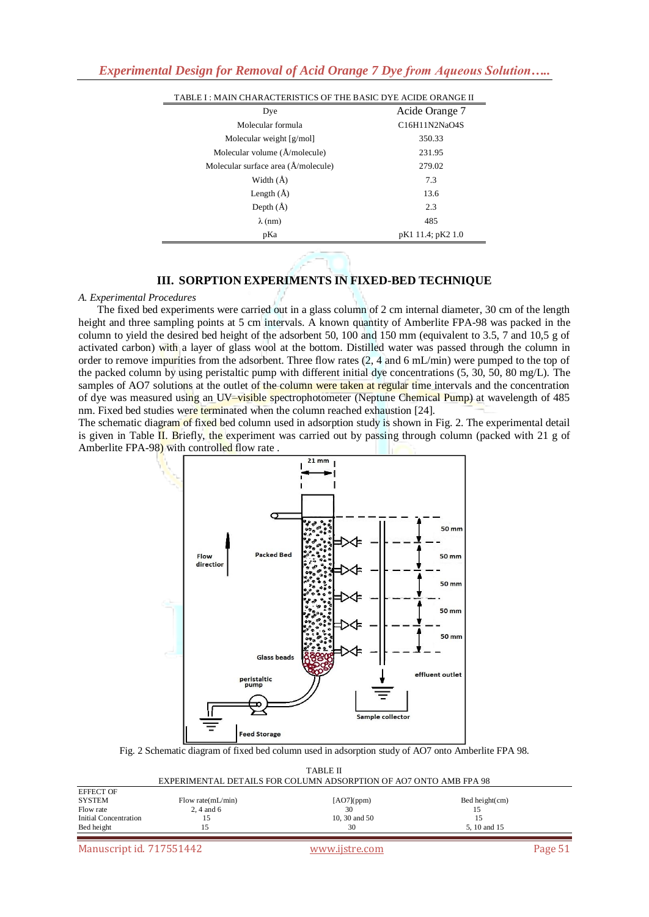| TABLE I: MAIN CHARACTERISTICS OF THE BASIC DYE ACIDE ORANGE II |                   |  |  |  |
|----------------------------------------------------------------|-------------------|--|--|--|
| Dye                                                            | Acide Orange 7    |  |  |  |
| Molecular formula                                              | C16H11N2NaO4S     |  |  |  |
| Molecular weight $[g/mol]$                                     | 350.33            |  |  |  |
| Molecular volume (Å/molecule)                                  | 231.95            |  |  |  |
| Molecular surface area (A/molecule)                            | 279.02            |  |  |  |
| Width $(\AA)$                                                  | 7.3               |  |  |  |
| Length $(A)$                                                   | 13.6              |  |  |  |
| Depth $(\AA)$                                                  | 2.3               |  |  |  |
| $\lambda$ (nm)                                                 | 485               |  |  |  |
| pKa                                                            | pK1 11.4; pK2 1.0 |  |  |  |
|                                                                |                   |  |  |  |

## **III. SORPTION EXPERIMENTS IN FIXED-BED TECHNIQUE**

#### *A. Experimental Procedures*

 The fixed bed experiments were carried out in a glass column of 2 cm internal diameter, 30 cm of the length height and three sampling points at 5 cm intervals. A known quantity of Amberlite FPA-98 was packed in the column to yield the desired bed height of the adsorbent 50, 100 and 150 mm (equivalent to 3.5, 7 and 10,5 g of activated carbon) with a layer of glass wool at the bottom. Distilled water was passed through the column in order to remove impurities from the adsorbent. Three flow rates (2, 4 and 6 mL/min) were pumped to the top of the packed column by using peristaltic pump with different initial dye concentrations (5, 30, 50, 80 mg/L). The samples of AO7 solutions at the outlet of the column were taken at regular time intervals and the concentration of dye was measured using an UV–visible spectrophotometer (Neptune Chemical Pump) at wavelength of 485 nm. Fixed bed studies were terminated when the column reached exhaustion [24].

The schematic diagram of fixed bed column used in adsorption study is shown in Fig. 2. The experimental detail is given in Table II. Briefly, the experiment was carried out by passing through column (packed with 21 g of Amberlite FPA-98) with controlled flow rate.



Fig. 2 Schematic diagram of fixed bed column used in adsorption study of AO7 onto Amberlite FPA 98.

| TABLE II<br>EXPERIMENTAL DETAILS FOR COLUMN ADSORPTION OF AO7 ONTO AMB FPA 98 |                       |               |                   |  |  |  |  |
|-------------------------------------------------------------------------------|-----------------------|---------------|-------------------|--|--|--|--|
| <b>EFFECT OF</b>                                                              |                       |               |                   |  |  |  |  |
| SYSTEM                                                                        | Flow rate $(mL/min)$  | $[AO7]$ (ppm) | Bed height $(cm)$ |  |  |  |  |
| Flow rate                                                                     | $2, 4$ and 6          | 30            | 15                |  |  |  |  |
| Initial Concentration                                                         | 10, 30 and $50$<br>15 |               |                   |  |  |  |  |
| Bed height<br>30<br>5, 10 and 15                                              |                       |               |                   |  |  |  |  |
|                                                                               |                       |               |                   |  |  |  |  |

Manuscript id. 717551442 www.ijstre.com Page 51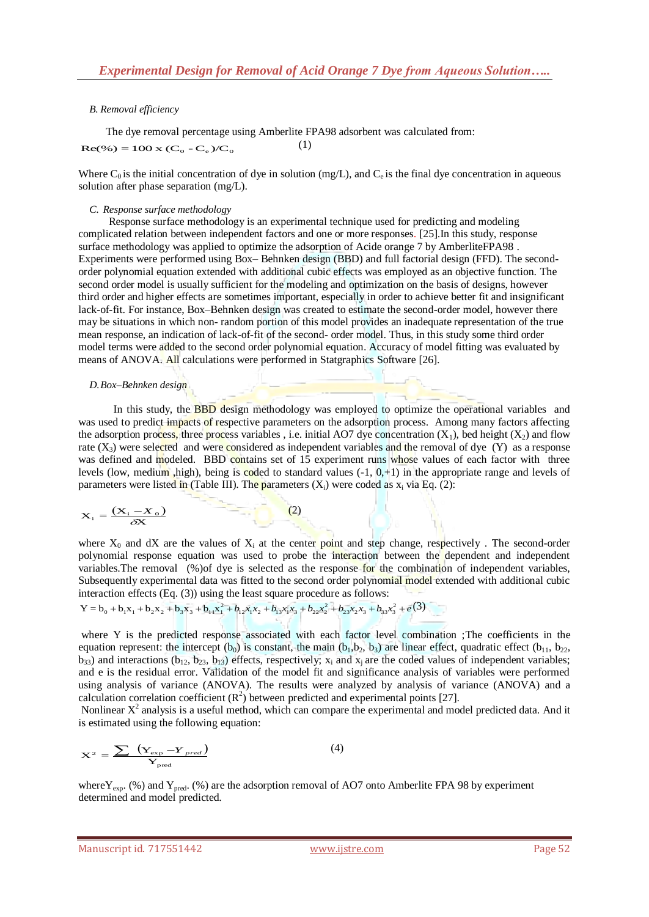## *B. Removal efficiency*

 The dye removal percentage using Amberlite FPA98 adsorbent was calculated from:  $Re(\%)=100 \text{ x } (C_0 - C_c)/C_0$ (1)

Where  $C_0$  is the initial concentration of dye in solution (mg/L), and  $C_e$  is the final dye concentration in aqueous solution after phase separation (mg/L).

#### *C. Response surface methodology*

 Response surface methodology is an experimental technique used for predicting and modeling complicated relation between independent factors and one or more responses. [25].In this study, response surface methodology was applied to optimize the adsorption of Acide orange 7 by AmberliteFPA98 . Experiments were performed using Box– Behnken design (BBD) and full factorial design (FFD). The secondorder polynomial equation extended with additional cubic effects was employed as an objective function. The second order model is usually sufficient for the modeling and optimization on the basis of designs, however third order and higher effects are sometimes important, especially in order to achieve better fit and insignificant lack-of-fit. For instance, Box–Behnken design was created to estimate the second-order model, however there may be situations in which non- random portion of this model provides an inadequate representation of the true mean response, an indication of lack-of-fit of the second- order model. Thus, in this study some third order model terms were added to the second order polynomial equation. Accuracy of model fitting was evaluated by means of ANOVA. All calculations were performed in Statgraphics Software [26].

#### *D.Box–Behnken design*

In this study, the **BBD** design methodology was employed to optimize the operational variables and was used to predict impacts of respective parameters on the adsorption process. Among many factors affecting the adsorption process, three process variables, i.e. initial AO7 dye concentration  $(X_1)$ , bed height  $(X_2)$  and flow rate  $(X_3)$  were selected and were considered as independent variables and the removal of dye  $(Y)$  as a response was defined and modeled. BBD contains set of 15 experiment runs whose values of each factor with three levels (low, medium ,high), being is coded to standard values  $(-1, 0, +1)$  in the appropriate range and levels of parameters were listed in (Table III). The parameters  $(X_i)$  were coded as  $x_i$  via Eq. (2):

$$
\mathbf{X}_{i} = \frac{(\mathbf{X}_{i} - \mathbf{X}_{o})}{\delta \mathbf{X}}
$$
 (2)

where  $X_0$  and dX are the values of  $X_i$  at the center point and step change, respectively . The second-order polynomial response equation was used to probe the interaction between the dependent and independent variables.The removal (%)of dye is selected as the response for the combination of independent variables, Subsequently experimental data was fitted to the second order polynomial model extended with additional cubic

interaction effects (Eq. (3)) using the least square procedure as follows:  
\n
$$
Y = b_0 + b_1x_1 + b_2x_2 + b_3x_3 + b_{11}x_1^2 + b_{12}x_1x_2 + b_{13}x_1x_3 + b_{22}x_2^2 + b_{23}x_2x_3 + b_{33}x_3^2 + e(3)
$$

where Y is the predicted response associated with each factor level combination ;The coefficients in the equation represent: the intercept  $(b_0)$  is constant, the main  $(b_1, b_2, b_3)$  are linear effect, quadratic effect  $(b_{11}, b_{22}, b_3)$  $b_{33}$ ) and interactions ( $b_{12}$ ,  $b_{23}$ ,  $b_{13}$ ) effects, respectively;  $x_i$  and  $x_j$  are the coded values of independent variables; and e is the residual error. Validation of the model fit and significance analysis of variables were performed using analysis of variance (ANOVA). The results were analyzed by analysis of variance (ANOVA) and a calculation correlation coefficient  $(R^2)$  between predicted and experimental points [27].

Nonlinear  $X^2$  analysis is a useful method, which can compare the experimental and model predicted data. And it is estimated using the following equation:

$$
X^{2} = \frac{\sum_{\text{exp}} (\mathbf{Y}_{\text{exp}} - \mathbf{Y}_{\text{pred}})}{\mathbf{Y}_{\text{pred}}}
$$
(4)

where  $Y_{\text{exp}}$ . (%) and  $Y_{\text{pred}}$ . (%) are the adsorption removal of AO7 onto Amberlite FPA 98 by experiment determined and model predicted.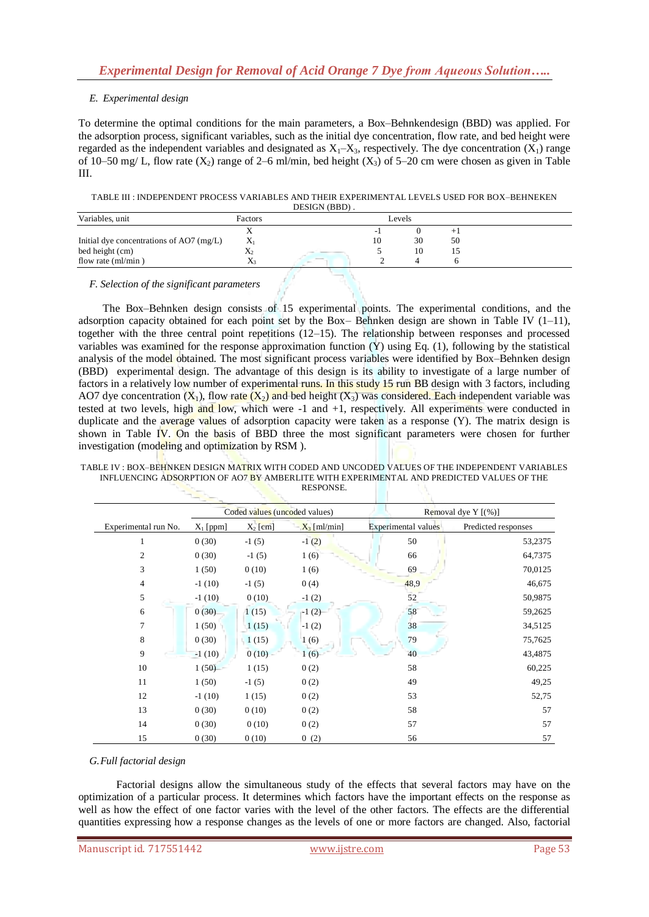## *E. Experimental design*

To determine the optimal conditions for the main parameters, a Box–Behnkendesign (BBD) was applied. For the adsorption process, significant variables, such as the initial dye concentration, flow rate, and bed height were regarded as the independent variables and designated as  $X_1$ – $X_3$ , respectively. The dye concentration  $(X_1)$  range of 10–50 mg/ L, flow rate  $(X_2)$  range of 2–6 ml/min, bed height  $(X_3)$  of 5–20 cm were chosen as given in Table III.

TABLE III : INDEPENDENT PROCESS VARIABLES AND THEIR EXPERIMENTAL LEVELS USED FOR BOX–BEHNEKEN DESIGN (BBD) .

|                                            |                | $D$ LUIVIIID $D$ |    |        |    |  |
|--------------------------------------------|----------------|------------------|----|--------|----|--|
| Variables, unit                            | Factors        |                  |    | Levels |    |  |
|                                            | ∡⊾             |                  |    |        |    |  |
| Initial dye concentrations of AO7 $(mg/L)$ | $X_1$          |                  | 10 | 30     | 50 |  |
| bed height (cm)                            | $\mathbf{A}_2$ |                  |    | 10     |    |  |
| flow rate ${\rm (ml/min)}$                 | $\Lambda_3$    |                  |    |        |    |  |

*F. Selection of the significant parameters* 

 The Box–Behnken design consists of 15 experimental points. The experimental conditions, and the adsorption capacity obtained for each point set by the Box– Behnken design are shown in Table IV  $(1-11)$ , together with the three central point repetitions (12–15). The relationship between responses and processed variables was examined for the response approximation function (Y) using Eq. (1), following by the statistical analysis of the model obtained. The most significant process variables were identified by Box–Behnken design (BBD) experimental design. The advantage of this design is its ability to investigate of a large number of factors in a relatively low number of experimental runs. In this study 15 run BB design with 3 factors, including AO7 dye concentration  $(X_1)$ , flow rate  $(X_2)$  and bed height  $(X_3)$  was considered. Each independent variable was tested at two levels, high and low, which were -1 and +1, respectively. All experiments were conducted in duplicate and the average values of adsorption capacity were taken as a response (Y). The matrix design is shown in Table IV. On the basis of BBD three the most significant parameters were chosen for further investigation (modeling and optimization by RSM).

|                      |             | Coded values (uncoded values) |                |                     | Removal dye Y [(%)] |
|----------------------|-------------|-------------------------------|----------------|---------------------|---------------------|
| Experimental run No. | $X_1$ [ppm] | $X_2$ [cm]                    | $X_3$ [ml/min] | Experimental values | Predicted responses |
| $\mathbf{1}$         | 0(30)       | $-1(5)$                       | $-1(2)$        | 50                  | 53,2375             |
| $\overline{c}$       | 0(30)       | $-1(5)$                       | 1(6)           | 66                  | 64,7375             |
| 3                    | 1(50)       | 0(10)                         | 1(6)           | 69                  | 70,0125             |
| $\overline{4}$       | $-1(10)$    | $-1(5)$                       | 0(4)           | 48,9                | 46,675              |
| 5                    | $-1(10)$    | 0(10)                         | $-1(2)$        | 52                  | 50,9875             |
| 6                    | 0(30)       | 1(15)                         | $-1(2)$        | 58                  | 59,2625             |
| 7                    | 1(50)       | 1(15)                         | $-1(2)$        | 38                  | 34,5125             |
| 8                    | 0(30)       | 1(15)                         | 1(6)           | 79                  | 75,7625             |
| 9                    | $-1(10)$    | 0(10)                         | 1(6)           | 40                  | 43,4875             |
| 10                   | 1(50)       | 1(15)                         | 0(2)           | 58                  | 60,225              |
| 11                   | 1(50)       | $-1(5)$                       | 0(2)           | 49                  | 49,25               |
| 12                   | $-1(10)$    | 1(15)                         | 0(2)           | 53                  | 52,75               |
| 13                   | 0(30)       | 0(10)                         | 0(2)           | 58                  | 57                  |
| 14                   | 0(30)       | 0(10)                         | 0(2)           | 57                  | 57                  |
| 15                   | 0(30)       | 0(10)                         | 0(2)           | 56                  | 57                  |

TABLE IV : BOX–BEHNKEN DESIGN MATRIX WITH CODED AND UNCODED VALUES OF THE INDEPENDENT VARIABLES INFLUENCING ADSORPTION OF AO7 BY AMBERLITE WITH EXPERIMENTAL AND PREDICTED VALUES OF THE RESPONSE.

## *G.Full factorial design*

 Factorial designs allow the simultaneous study of the effects that several factors may have on the optimization of a particular process. It determines which factors have the important effects on the response as well as how the effect of one factor varies with the level of the other factors. The effects are the differential quantities expressing how a response changes as the levels of one or more factors are changed. Also, factorial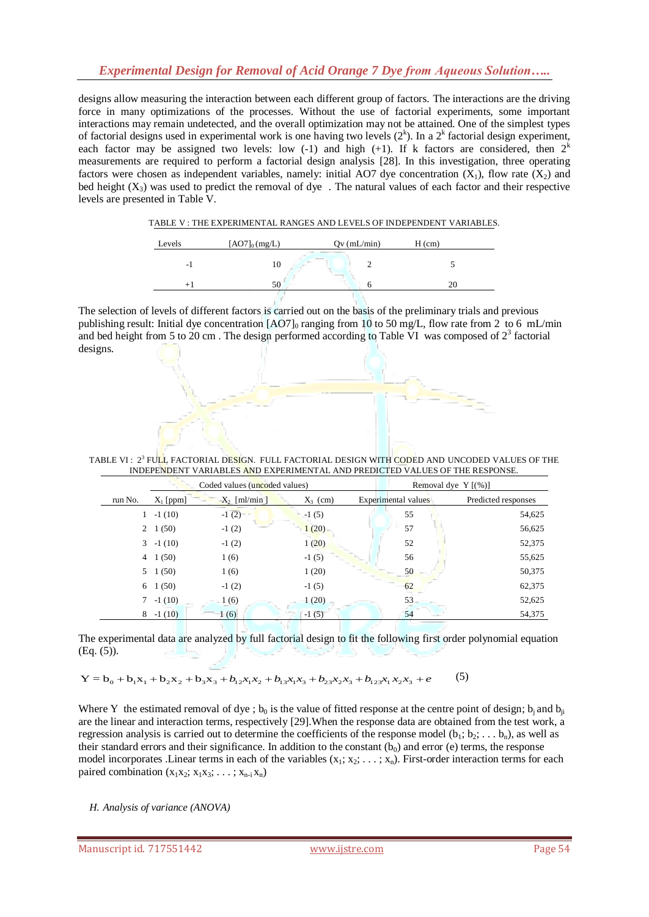# *Experimental Design for Removal of Acid Orange 7 Dye from Aqueous Solution…..*

designs allow measuring the interaction between each different group of factors. The interactions are the driving force in many optimizations of the processes. Without the use of factorial experiments, some important interactions may remain undetected, and the overall optimization may not be attained. One of the simplest types of factorial designs used in experimental work is one having two levels  $(2^k)$ . In a  $2^k$  factorial design experiment, each factor may be assigned two levels: low  $(-1)$  and high  $(+1)$ . If k factors are considered, then  $2<sup>k</sup>$ measurements are required to perform a factorial design analysis [28]. In this investigation, three operating factors were chosen as independent variables, namely: initial AO7 dye concentration  $(X_1)$ , flow rate  $(X_2)$  and bed height  $(X_3)$  was used to predict the removal of dye. The natural values of each factor and their respective levels are presented in Table V.

| TABLE V: THE EXPERIMENTAL RANGES AND LEVELS OF INDEPENDENT VARIABLES. |
|-----------------------------------------------------------------------|
|-----------------------------------------------------------------------|

| Levels | $[AO7]_0(mg/L)$ | $Qv$ (mL/min) | $H$ (cm) |
|--------|-----------------|---------------|----------|
| - 1    | ΙU              |               |          |
|        | 50              |               |          |

The selection of levels of different factors is carried out on the basis of the preliminary trials and previous publishing result: Initial dye concentration  $[AO7]_0$  ranging from 10 to 50 mg/L, flow rate from 2 to 6 mL/min and bed height from 5 to 20 cm. The design performed according to Table VI was composed of  $2<sup>3</sup>$  factorial designs.

TABLE VI : 2<sup>3</sup> FU<mark>L</mark>L FACTORIAL DE<mark>SIG</mark>N. FULL FACTORIAL DESIGN WITH CODED AND UNCODED VALUES OF THE INDEPENDENT VARIABLES AND EXPERIMENTAL AND PREDICTED VALUES OF THE RESPONSE.

|                |                 | Coded values (uncoded values) |            |                     | Removal dye $Y$ $($ % $)$ ] |
|----------------|-----------------|-------------------------------|------------|---------------------|-----------------------------|
| run No.        | $X_1$ [ppm]     | $X_2$ [ml/min]                | $X_3$ (cm) | Experimental values | Predicted responses         |
|                | $-1(10)$        | $-1(2)$                       | $-1(5)$    | 55                  | 54,625                      |
| $\overline{2}$ | 1(50)           | $-1(2)$                       | 1(20)      | 57                  | 56,625                      |
| 3              | $-1(10)$        | $-1(2)$                       | 1(20)      | 52                  | 52,375                      |
| $\overline{4}$ | 1(50)           | 1(6)                          | $-1(5)$    | 56                  | 55,625                      |
|                | $5 \quad 1(50)$ | 1(6)                          | 1(20)      | 50                  | 50,375                      |
| 6              | 1(50)           | $-1(2)$                       | $-1(5)$    | 62                  | 62,375                      |
| 7              | $-1(10)$        | 1(6)                          | 1(20)      | 53                  | 52,625                      |
| 8              | $-1(10)$        | 1(6)                          | $-1(5)$    | 54                  | 54,375                      |

The experimental data are analyzed by full factorial design to fit the following first order polynomial equation (Eq. (5)).

 $Y = b_0 + b_1x_1 + b_2x_2 + b_3x_3 + b_1x_1x_2 + b_1x_1x_3 + b_2x_2x_3 + b_1x_2x_1x_2 + b_2x_3x_4 + b_3x_2x_3 + b_3x_3x_4$ 

Where Y the estimated removal of dye;  $b_0$  is the value of fitted response at the centre point of design;  $b_i$  and  $b_{ii}$ are the linear and interaction terms, respectively [29].When the response data are obtained from the test work, a regression analysis is carried out to determine the coefficients of the response model  $(b_1; b_2; \ldots, b_n)$ , as well as their standard errors and their significance. In addition to the constant  $(b_0)$  and error (e) terms, the response model incorporates .Linear terms in each of the variables  $(x_1, x_2, \ldots, x_n)$ . First-order interaction terms for each paired combination  $(x_1x_2; x_1x_3; \ldots; x_{n-i}x_n)$ 

*H. Analysis of variance (ANOVA)*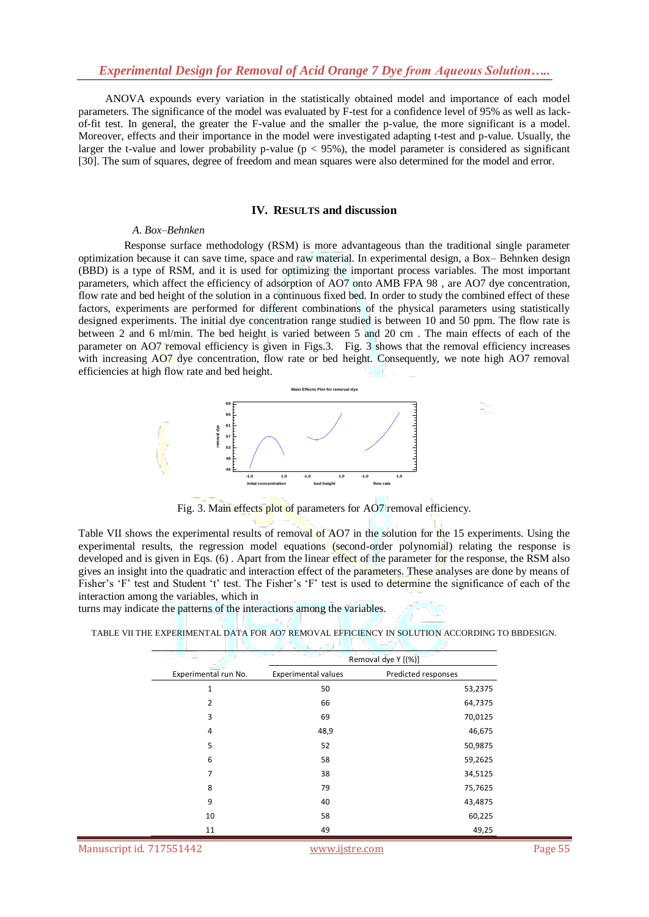ANOVA expounds every variation in the statistically obtained model and importance of each model parameters. The significance of the model was evaluated by F-test for a confidence level of 95% as well as lackof-fit test. In general, the greater the F-value and the smaller the p-value, the more significant is a model. Moreover, effects and their importance in the model were investigated adapting t-test and p-value. Usually, the larger the t-value and lower probability p-value ( $p < 95\%$ ), the model parameter is considered as significant [30]. The sum of squares, degree of freedom and mean squares were also determined for the model and error.

#### **IV. RESULTS and discussion**

#### *A. Box–Behnken*

 Response surface methodology (RSM) is more advantageous than the traditional single parameter optimization because it can save time, space and raw material. In experimental design, a Box– Behnken design (BBD) is a type of RSM, and it is used for optimizing the important process variables. The most important parameters, which affect the efficiency of adsorption of AO7 onto AMB FPA 98 , are AO7 dye concentration, flow rate and bed height of the solution in a continuous fixed bed. In order to study the combined effect of these factors, experiments are performed for different combinations of the physical parameters using statistically designed experiments. The initial dye concentration range studied is between 10 and 50 ppm. The flow rate is between 2 and 6 ml/min. The bed height is varied between 5 and 20 cm . The main effects of each of the parameter on AO7 removal efficiency is given in Figs.3. Fig. 3 shows that the removal efficiency increases with increasing AO7 dye concentration, flow rate or bed height. Consequently, we note high AO7 removal efficiencies at high flow rate and bed height.



Fig. 3. Main effects plot of parameters for AO7 removal efficiency.

Table VII shows the experimental results of removal of AO7 in the solution for the 15 experiments. Using the experimental results, the regression model equations (second-order polynomial) relating the response is developed and is given in Eqs. (6). Apart from the linear effect of the parameter for the response, the RSM also gives an insight into the quadratic and interaction effect of the parameters. These analyses are done by means of Fisher's 'F' test and Student 't' test. The Fisher's 'F' test is used to determine the significance of each of the interaction among the variables, which in

turns may indicate the patterns of the interactions among the variables.

TABLE VII THE EXPERIMENTAL DATA FOR AO7 REMOVAL EFFICIENCY IN SOLUTION ACCORDING TO BBDESIGN.

|                          |                            | Removal dye Y [(%)] |
|--------------------------|----------------------------|---------------------|
| Experimental run No.     | <b>Experimental values</b> | Predicted responses |
| 1                        | 50                         | 53,2375             |
| 2                        | 66                         | 64,7375             |
| 3                        | 69                         | 70,0125             |
| 4                        | 48,9                       | 46,675              |
| 5                        | 52                         | 50,9875             |
| 6                        | 58                         | 59,2625             |
| 7                        | 38                         | 34,5125             |
| 8                        | 79                         | 75,7625             |
| 9                        | 40                         | 43,4875             |
| 10                       | 58                         | 60,225              |
| 11                       | 49                         | 49,25               |
| Manuscript id. 717551442 | www.ijstre.com             |                     |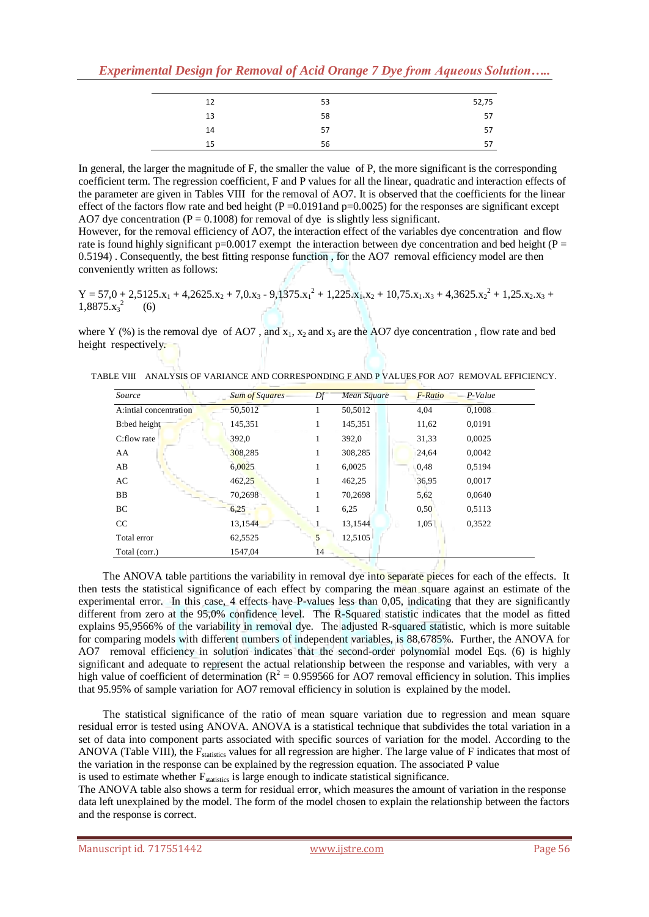| 12 | 53 | 52,75 |
|----|----|-------|
| 13 | 58 | 57    |
| 14 | 57 | 57    |
| 15 | 56 | 57    |

In general, the larger the magnitude of F, the smaller the value of P, the more significant is the corresponding coefficient term. The regression coefficient, F and P values for all the linear, quadratic and interaction effects of the parameter are given in Tables VIII for the removal of AO7. It is observed that the coefficients for the linear effect of the factors flow rate and bed height ( $P = 0.0191$ and  $p = 0.0025$ ) for the responses are significant except AO7 dye concentration ( $P = 0.1008$ ) for removal of dye is slightly less significant.

However, for the removal efficiency of AO7, the interaction effect of the variables dye concentration and flow rate is found highly significant  $p=0.0017$  exempt the interaction between dye concentration and bed height (P = 0.5194) . Consequently, the best fitting response function , for the AO7 removal efficiency model are then conveniently written as follows:

 $Y = 57.0 + 2.5125.x_1 + 4.2625.x_2 + 7.0.x_3 - 9.1375.x_1^2 + 1.225.x_1.x_2 + 10.75.x_1.x_3 + 4.3625.x_2^2 + 1.25.x_2.x_3 +$  $1,8875.x_3^2$  (6)

where Y (%) is the removal dye of AO7, and  $x_1$ ,  $x_2$  and  $x_3$  are the AO7 dye concentration, flow rate and bed height respectively.

TABLE VIII ANALYSIS OF VARIANCE AND CORRESPONDING F AND P VALUES FOR AO7 REMOVAL EFFICIENCY.

| Source                  | <b>Sum of Squares</b> | Df | <b>Mean Square</b> | F-Ratio | P-Value |
|-------------------------|-----------------------|----|--------------------|---------|---------|
| A: intial concentration | 50,5012               |    | 50,5012            | 4,04    | 0,1008  |
| B:bed height            | 145,351               | 1  | 145,351            | 11,62   | 0.0191  |
| C:flow rate             | 392,0                 | 1  | 392,0              | 31,33   | 0,0025  |
| AA                      | 308,285               | 1  | 308,285            | 24,64   | 0,0042  |
| AB                      | 6,0025                | 1  | 6,0025             | 0,48    | 0.5194  |
| AC                      | 462,25                | 1  | 462,25             | 36,95   | 0,0017  |
| BB                      | 70,2698               | 1  | 70,2698            | 5,62    | 0,0640  |
| BC                      | 6,25                  | 1  | 6.25               | 0,50    | 0.5113  |
| CC                      | 13,1544               |    | 13,1544            | 1,05    | 0.3522  |
| Total error             | 62,5525               | 5  | 12.5105            |         |         |
| Total (corr.)           | 1547,04               | 14 |                    |         |         |

 The ANOVA table partitions the variability in removal dye into separate pieces for each of the effects. It then tests the statistical significance of each effect by comparing the mean square against an estimate of the experimental error. In this case, 4 effects have P-values less than 0,05, indicating that they are significantly different from zero at the 95,0% confidence level. The R-Squared statistic indicates that the model as fitted explains 95,9566% of the variability in removal dye. The adjusted R-squared statistic, which is more suitable for comparing models with different numbers of independent variables, is 88,6785%. Further, the ANOVA for AO7 removal efficiency in solution indicates that the second-order polynomial model Eqs. (6) is highly significant and adequate to represent the actual relationship between the response and variables, with very a high value of coefficient of determination ( $R^2 = 0.959566$  for AO7 removal efficiency in solution. This implies that 95.95% of sample variation for AO7 removal efficiency in solution is explained by the model.

 The statistical significance of the ratio of mean square variation due to regression and mean square residual error is tested using ANOVA. ANOVA is a statistical technique that subdivides the total variation in a set of data into component parts associated with specific sources of variation for the model. According to the ANOVA (Table VIII), the F<sub>statistics</sub> values for all regression are higher. The large value of F indicates that most of the variation in the response can be explained by the regression equation. The associated P value is used to estimate whether  $F_{\text{statistics}}$  is large enough to indicate statistical significance.

The ANOVA table also shows a term for residual error, which measures the amount of variation in the response data left unexplained by the model. The form of the model chosen to explain the relationship between the factors and the response is correct.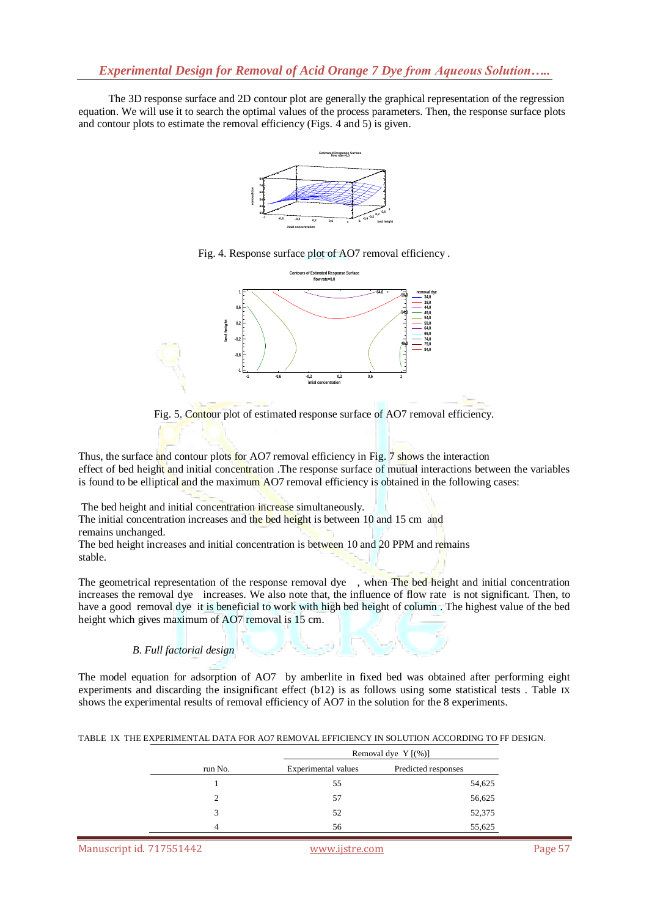The 3D response surface and 2D contour plot are generally the graphical representation of the regression equation. We will use it to search the optimal values of the process parameters. Then, the response surface plots and contour plots to estimate the removal efficiency (Figs. 4 and 5) is given.



Fig. 4. Response surface plot of AO7 removal efficiency .





Thus, the surface and contour plots for AO7 removal efficiency in Fig. 7 shows the interaction effect of bed height and initial concentration. The response surface of mutual interactions between the variables is found to be elliptical and the maximum AO7 removal efficiency is obtained in the following cases:

The bed height and initial concentration increase simultaneously.

The initial concentration increases and the bed height is between 10 and 15 cm and remains unchanged.

The bed height increases and initial concentration is between 10 and 20 PPM and remains stable.

The geometrical representation of the response removal dye, when The bed height and initial concentration increases the removal dye increases. We also note that, the influence of flow rate is not significant. Then, to have a good removal dye it is beneficial to work with high bed height of column . The highest value of the bed height which gives maximum of AO7 removal is 15 cm.

## *B. Full factorial design*

The model equation for adsorption of AO7 by amberlite in fixed bed was obtained after performing eight experiments and discarding the insignificant effect (b12) is as follows using some statistical tests . Table IX shows the experimental results of removal efficiency of AO7 in the solution for the 8 experiments.

|  | TABLE IX THE EXPERIMENTAL DATA FOR AO7 REMOVAL EFFICIENCY IN SOLUTION ACCORDING TO FF DESIGN. |  |  |  |
|--|-----------------------------------------------------------------------------------------------|--|--|--|
|  |                                                                                               |  |  |  |

|         | Removal dye $Y$ [(%)] |                     |  |  |  |
|---------|-----------------------|---------------------|--|--|--|
| run No. | Experimental values   | Predicted responses |  |  |  |
|         | 55                    | 54,625              |  |  |  |
|         | 57                    | 56,625              |  |  |  |
| 3       | 52                    | 52,375              |  |  |  |
| Δ       | 56                    | 55,625              |  |  |  |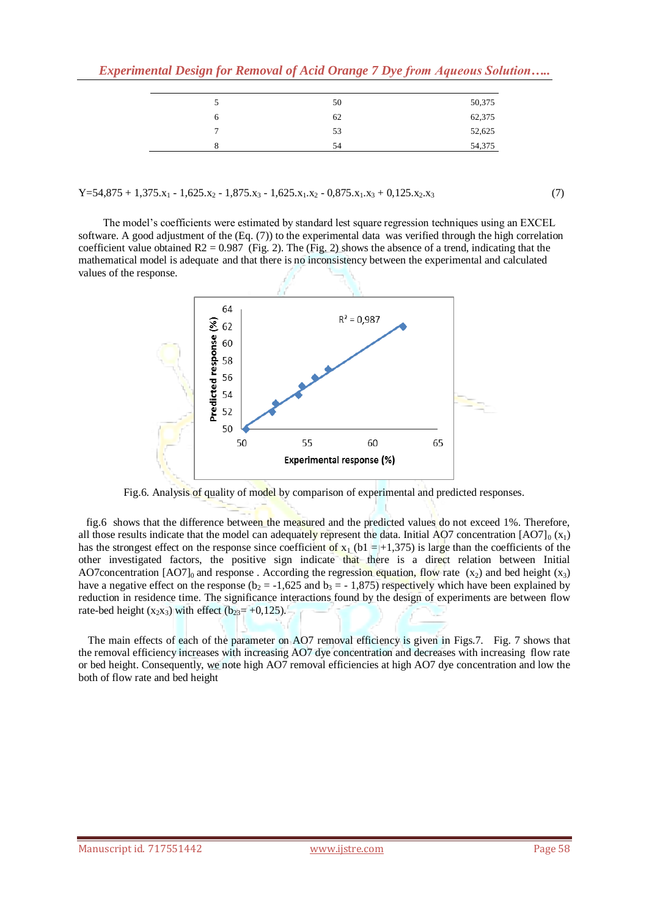|   | 50 | 50,375 |
|---|----|--------|
| O | 62 | 62,375 |
| - | 53 | 52,625 |
|   | 54 | 54,375 |
|   |    |        |

 $Y=54,875 + 1,375.x_1 - 1,625.x_2 - 1,875.x_3 - 1,625.x_1.x_2 - 0,875.x_1.x_3 + 0,125.x_2.x_3$  (7)

 The model's coefficients were estimated by standard lest square regression techniques using an EXCEL software. A good adjustment of the (Eq. (7)) to the experimental data was verified through the high correlation coefficient value obtained  $R2 = 0.987$  (Fig. 2). The (Fig. 2) shows the absence of a trend, indicating that the mathematical model is adequate and that there is no inconsistency between the experimental and calculated values of the response.



Fig.6. Analysis of quality of model by comparison of experimental and predicted responses.

 fig.6 shows that the difference between the measured and the predicted values do not exceed 1%. Therefore, all those results indicate that the model can adequately represent the data. Initial AO7 concentration  $[AO7]_0 (x_1)$ has the strongest effect on the response since coefficient of  $x_1$  (b1 = +1,375) is large than the coefficients of the other investigated factors, the positive sign indicate that there is a direct relation between Initial AO7concentration [AO7]<sub>0</sub> and response . According the regression equation, flow rate  $(x_2)$  and bed height  $(x_3)$ have a negative effect on the response ( $b_2 = -1,625$  and  $b_3 = -1,875$ ) respectively which have been explained by reduction in residence time. The significance interactions found by the design of experiments are between flow rate-bed height  $(x_2x_3)$  with effect  $(b_{23}=+0,125)$ .

 The main effects of each of the parameter on AO7 removal efficiency is given in Figs.7. Fig. 7 shows that the removal efficiency increases with increasing AO7 dye concentration and decreases with increasing flow rate or bed height. Consequently, we note high AO7 removal efficiencies at high AO7 dye concentration and low the both of flow rate and bed height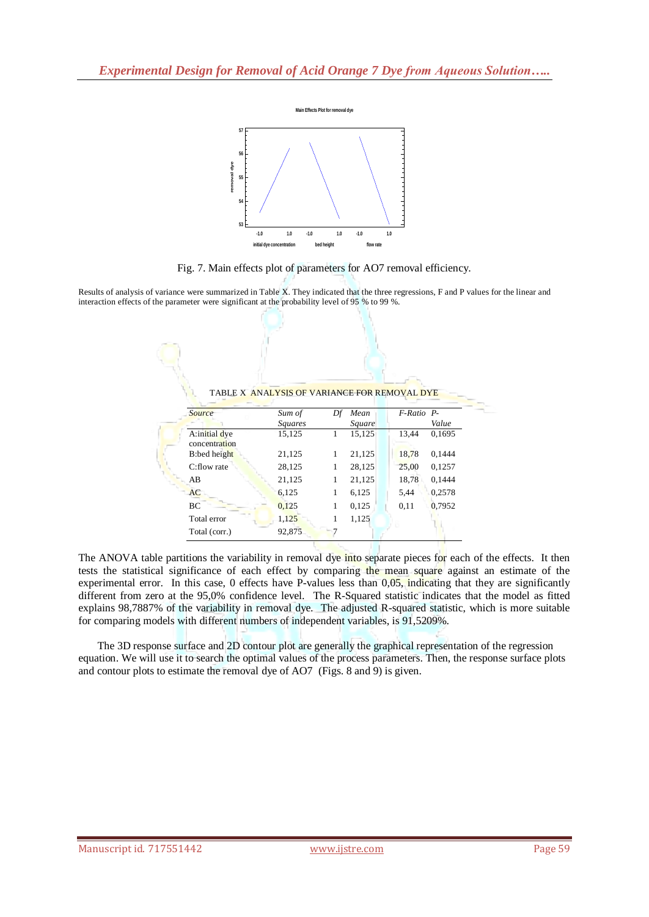

Fig. 7. Main effects plot of parameters for AO7 removal efficiency.

|                                                                                                                                                                                                                                             | 57<br>56<br>removal dye<br>55<br>54<br>53<br>Fig. 7. Main effects plot of parameters for AO7 removal efficiency. | $-1.0$<br>$1.0$<br>$-1.0$<br>initial dye concentration | 1.0<br>bed height | $-1.0$<br>flow rate | 1.0        |        |                                                                                                                                                                                                                                                                                                                                                                                                                                                                                                                                                                                                                                                                                                                                                                                                                     |
|---------------------------------------------------------------------------------------------------------------------------------------------------------------------------------------------------------------------------------------------|------------------------------------------------------------------------------------------------------------------|--------------------------------------------------------|-------------------|---------------------|------------|--------|---------------------------------------------------------------------------------------------------------------------------------------------------------------------------------------------------------------------------------------------------------------------------------------------------------------------------------------------------------------------------------------------------------------------------------------------------------------------------------------------------------------------------------------------------------------------------------------------------------------------------------------------------------------------------------------------------------------------------------------------------------------------------------------------------------------------|
|                                                                                                                                                                                                                                             |                                                                                                                  |                                                        |                   |                     |            |        |                                                                                                                                                                                                                                                                                                                                                                                                                                                                                                                                                                                                                                                                                                                                                                                                                     |
| Results of analysis of variance were summarized in Table X. They indicated that the three regressions, F and P values for the linear and<br>interaction effects of the parameter were significant at the probability level of 95 % to 99 %. |                                                                                                                  |                                                        |                   |                     |            |        |                                                                                                                                                                                                                                                                                                                                                                                                                                                                                                                                                                                                                                                                                                                                                                                                                     |
|                                                                                                                                                                                                                                             |                                                                                                                  | TABLE X ANALYSIS OF VARIANCE FOR REMOVAL DYE           |                   |                     |            |        |                                                                                                                                                                                                                                                                                                                                                                                                                                                                                                                                                                                                                                                                                                                                                                                                                     |
|                                                                                                                                                                                                                                             | <b>Source</b>                                                                                                    | Sum of                                                 |                   | Df Mean             | F-Ratio P- |        |                                                                                                                                                                                                                                                                                                                                                                                                                                                                                                                                                                                                                                                                                                                                                                                                                     |
|                                                                                                                                                                                                                                             |                                                                                                                  | Squares                                                |                   | Square              |            | Value  |                                                                                                                                                                                                                                                                                                                                                                                                                                                                                                                                                                                                                                                                                                                                                                                                                     |
|                                                                                                                                                                                                                                             | A:initial dye<br>concentration                                                                                   | 15,125                                                 | 1                 | 15,125              | 13,44      | 0,1695 |                                                                                                                                                                                                                                                                                                                                                                                                                                                                                                                                                                                                                                                                                                                                                                                                                     |
|                                                                                                                                                                                                                                             | B:bed height                                                                                                     | 21,125                                                 | 1                 | 21,125              | 18,78      | 0,1444 |                                                                                                                                                                                                                                                                                                                                                                                                                                                                                                                                                                                                                                                                                                                                                                                                                     |
|                                                                                                                                                                                                                                             | C:flow rate                                                                                                      | 28,125                                                 | 1                 | 28,125              | 25,00      | 0,1257 |                                                                                                                                                                                                                                                                                                                                                                                                                                                                                                                                                                                                                                                                                                                                                                                                                     |
|                                                                                                                                                                                                                                             | AВ                                                                                                               | 21,125                                                 | 1                 | 21,125              | 18,78      | 0,1444 |                                                                                                                                                                                                                                                                                                                                                                                                                                                                                                                                                                                                                                                                                                                                                                                                                     |
|                                                                                                                                                                                                                                             | <b>AC</b>                                                                                                        | 6,125                                                  | 1                 | 6,125               | 5,44       | 0,2578 |                                                                                                                                                                                                                                                                                                                                                                                                                                                                                                                                                                                                                                                                                                                                                                                                                     |
|                                                                                                                                                                                                                                             | ВC                                                                                                               | 0,125                                                  | 1                 | 0,125               | 0,11       | 0,7952 |                                                                                                                                                                                                                                                                                                                                                                                                                                                                                                                                                                                                                                                                                                                                                                                                                     |
|                                                                                                                                                                                                                                             | Total error                                                                                                      | 1,125                                                  | 1                 | 1,125               |            |        |                                                                                                                                                                                                                                                                                                                                                                                                                                                                                                                                                                                                                                                                                                                                                                                                                     |
|                                                                                                                                                                                                                                             | Total (corr.)                                                                                                    | 92,875                                                 | 7                 |                     |            |        |                                                                                                                                                                                                                                                                                                                                                                                                                                                                                                                                                                                                                                                                                                                                                                                                                     |
| for comparing models with different numbers of independent variables, is 91,5209%.<br>and contour plots to estimate the removal dye of AO7 (Figs. 8 and 9) is given.                                                                        |                                                                                                                  |                                                        |                   |                     |            |        | The ANOVA table partitions the variability in removal dye into separate pieces for each of the effects. It then<br>tests the statistical significance of each effect by comparing the mean square against an estimate of the<br>experimental error. In this case, 0 effects have P-values less than 0,05, indicating that they are significantly<br>different from zero at the 95,0% confidence level. The R-Squared statistic indicates that the model as fitted<br>explains 98,7887% of the variability in removal dye. The adjusted R-squared statistic, which is more suitable<br>The 3D response surface and 2D contour plot are generally the graphical representation of the regression<br>equation. We will use it to search the optimal values of the process parameters. Then, the response surface plots |
|                                                                                                                                                                                                                                             |                                                                                                                  |                                                        |                   |                     |            |        |                                                                                                                                                                                                                                                                                                                                                                                                                                                                                                                                                                                                                                                                                                                                                                                                                     |
| Manuscript id. 717551442                                                                                                                                                                                                                    |                                                                                                                  |                                                        |                   | www.ijstre.com      |            |        | Page 59                                                                                                                                                                                                                                                                                                                                                                                                                                                                                                                                                                                                                                                                                                                                                                                                             |

TABLE X ANALYSIS OF VARIANCE FOR REMOVAL DYE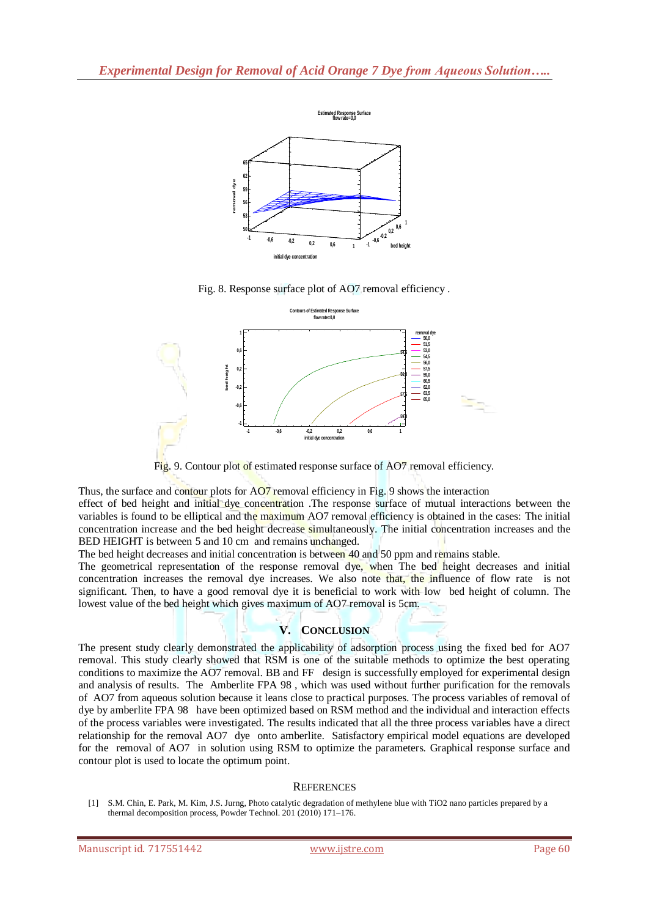

Fig. 8. Response surface plot of AO7 removal efficiency .



Fig. 9. Contour plot of estimated response surface of AO7 removal efficiency.

Thus, the surface and contour plots for AO7 removal efficiency in Fig. 9 shows the interaction

effect of bed height and initial dye concentration. The response surface of mutual interactions between the variables is found to be elliptical and the maximum AO7 removal efficiency is obtained in the cases: The initial concentration increase and the bed height decrease simultaneously. The initial concentration increases and the BED HEIGHT is between 5 and 10 cm and remains unchanged.

The bed height decreases and initial concentration is between 40 and 50 ppm and remains stable.

The geometrical representation of the response removal dye, when The bed height decreases and initial concentration increases the removal dye increases. We also note that, the influence of flow rate is not significant. Then, to have a good removal dye it is beneficial to work with low bed height of column. The lowest value of the bed height which gives maximum of AO7 removal is 5cm.

## **V. CONCLUSION**

Manuscript is the based of columns of the based of AOT means of AOT means of the based of AOT means of the Based of AOT means of AOT means of AOT means of the Based of AOT means of the Based of AOT means of the Based of A The present study clearly demonstrated the applicability of adsorption process using the fixed bed for AO7 removal. This study clearly showed that RSM is one of the suitable methods to optimize the best operating conditions to maximize the AO7 removal. BB and FF design is successfully employed for experimental design and analysis of results. The Amberlite FPA 98 , which was used without further purification for the removals of AO7 from aqueous solution because it leans close to practical purposes. The process variables of removal of dye by amberlite FPA 98 have been optimized based on RSM method and the individual and interaction effects of the process variables were investigated. The results indicated that all the three process variables have a direct relationship for the removal AO7 dye onto amberlite. Satisfactory empirical model equations are developed for the removal of AO7 in solution using RSM to optimize the parameters. Graphical response surface and contour plot is used to locate the optimum point.

## **REFERENCES**

<sup>[1]</sup> S.M. Chin, E. Park, M. Kim, J.S. Jurng, Photo catalytic degradation of methylene blue with TiO2 nano particles prepared by a thermal decomposition process, Powder Technol. 201 (2010) 171–176.